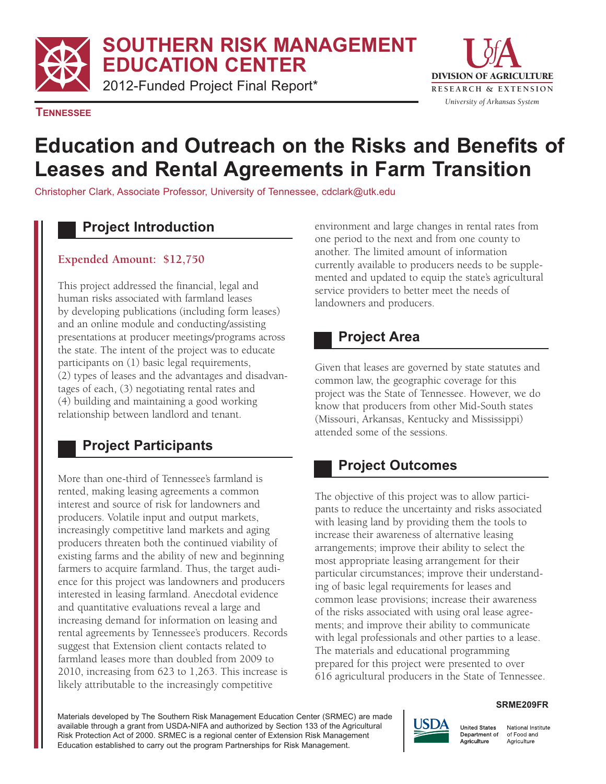**SOUTHERN RISK MANAGEMENT** 

**EDUCATION CENTER** 

2012-Funded Project Final Report\* **RESEARCH & EXTENSION** 



**TENNESSEE** 

# **Education and Outreach on the Risks and Benefits of Leases and Rental Agreements in Farm Transition**

Christopher Clark, Associate Professor, University of Tennessee, cdclark@utk.edu

## **Project Introduction**

#### **Expended Amount: \$12,750**

This project addressed the financial, legal and human risks associated with farmland leases by developing publications (including form leases) and an online module and conducting/assisting presentations at producer meetings/programs across the state. The intent of the project was to educate participants on (1) basic legal requirements, (2) types of leases and the advantages and disadvantages of each, (3) negotiating rental rates and (4) building and maintaining a good working relationship between landlord and tenant.

# **Project Participants**

More than one-third of Tennessee's farmland is rented, making leasing agreements a common interest and source of risk for landowners and producers. Volatile input and output markets, increasingly competitive land markets and aging producers threaten both the continued viability of existing farms and the ability of new and beginning farmers to acquire farmland. Thus, the target audience for this project was landowners and producers interested in leasing farmland. Anecdotal evidence and quantitative evaluations reveal a large and increasing demand for information on leasing and rental agreements by Tennessee's producers. Records suggest that Extension client contacts related to farmland leases more than doubled from 2009 to 2010, increasing from 623 to 1,263. This increase is likely attributable to the increasingly competitive

environment and large changes in rental rates from one period to the next and from one county to another. The limited amount of information currently available to producers needs to be supplemented and updated to equip the state's agricultural service providers to better meet the needs of landowners and producers.

### **Project Area**

Given that leases are governed by state statutes and common law, the geographic coverage for this project was the State of Tennessee. However, we do know that producers from other Mid-South states (Missouri, Arkansas, Kentucky and Mississippi) attended some of the sessions.

# **Project Outcomes**

The objective of this project was to allow participants to reduce the uncertainty and risks associated with leasing land by providing them the tools to increase their awareness of alternative leasing arrangements; improve their ability to select the most appropriate leasing arrangement for their particular circumstances; improve their understanding of basic legal requirements for leases and common lease provisions; increase their awareness of the risks associated with using oral lease agreements; and improve their ability to communicate with legal professionals and other parties to a lease. The materials and educational programming prepared for this project were presented to over 616 agricultural producers in the State of Tennessee.

#### **SRME209FR**

Materials developed by The Southern Risk Management Education Center (SRMEC) are made available through a grant from USDA-NIFA and authorized by Section 133 of the Agricultural Risk Protection Act of 2000. SRMEC is a regional center of Extension Risk Management Education established to carry out the program Partnerships for Risk Management.



National Institute of Food and Agriculture